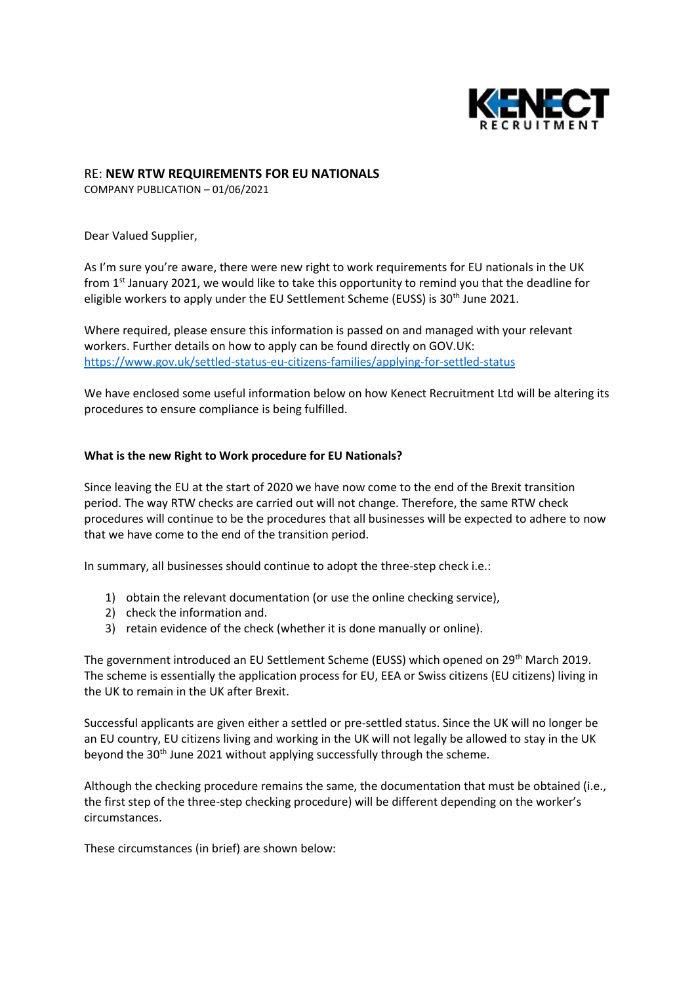

# RE: **NEW RTW REQUIREMENTS FOR EU NATIONALS**

COMPANY PUBLICATION – 01/06/2021

Dear Valued Supplier,

As I'm sure you're aware, there were new right to work requirements for EU nationals in the UK from 1<sup>st</sup> January 2021, we would like to take this opportunity to remind you that the deadline for eligible workers to apply under the EU Settlement Scheme (EUSS) is 30<sup>th</sup> June 2021.

Where required, please ensure this information is passed on and managed with your relevant workers. Further details on how to apply can be found directly on GOV.UK: <https://www.gov.uk/settled-status-eu-citizens-families/applying-for-settled-status>

We have enclosed some useful information below on how Kenect Recruitment Ltd will be altering its procedures to ensure compliance is being fulfilled.

# **What is the new Right to Work procedure for EU Nationals?**

Since leaving the EU at the start of 2020 we have now come to the end of the Brexit transition period. The way RTW checks are carried out will not change. Therefore, the same RTW check procedures will continue to be the procedures that all businesses will be expected to adhere to now that we have come to the end of the transition period.

In summary, all businesses should continue to adopt the three-step check i.e.:

- 1) obtain the relevant documentation (or use the online checking service),
- 2) check the information and.
- 3) retain evidence of the check (whether it is done manually or online).

The government introduced an EU Settlement Scheme (EUSS) which opened on 29<sup>th</sup> March 2019. The scheme is essentially the application process for EU, EEA or Swiss citizens (EU citizens) living in the UK to remain in the UK after Brexit.

Successful applicants are given either a settled or pre-settled status. Since the UK will no longer be an EU country, EU citizens living and working in the UK will not legally be allowed to stay in the UK beyond the 30<sup>th</sup> June 2021 without applying successfully through the scheme.

Although the checking procedure remains the same, the documentation that must be obtained (i.e., the first step of the three-step checking procedure) will be different depending on the worker's circumstances.

These circumstances (in brief) are shown below: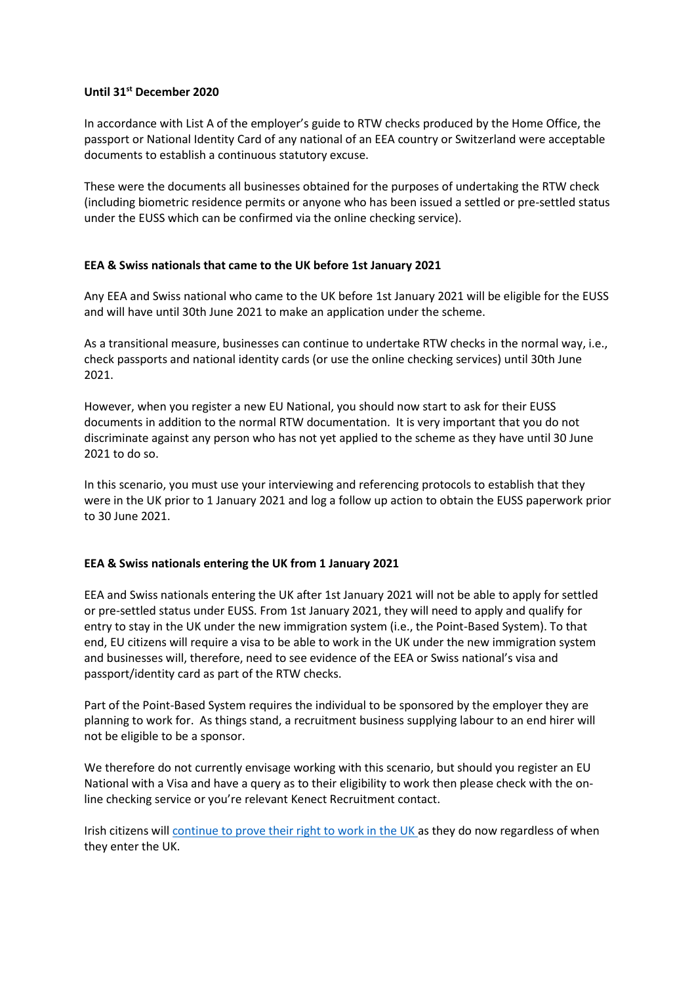#### **Until 31st December 2020**

In accordance with List A of the employer's guide to RTW checks produced by the Home Office, the passport or National Identity Card of any national of an EEA country or Switzerland were acceptable documents to establish a continuous statutory excuse.

These were the documents all businesses obtained for the purposes of undertaking the RTW check (including biometric residence permits or anyone who has been issued a settled or pre-settled status under the EUSS which can be confirmed via the online checking service).

# **EEA & Swiss nationals that came to the UK before 1st January 2021**

Any EEA and Swiss national who came to the UK before 1st January 2021 will be eligible for the EUSS and will have until 30th June 2021 to make an application under the scheme.

As a transitional measure, businesses can continue to undertake RTW checks in the normal way, i.e., check passports and national identity cards (or use the online checking services) until 30th June 2021.

However, when you register a new EU National, you should now start to ask for their EUSS documents in addition to the normal RTW documentation. It is very important that you do not discriminate against any person who has not yet applied to the scheme as they have until 30 June 2021 to do so.

In this scenario, you must use your interviewing and referencing protocols to establish that they were in the UK prior to 1 January 2021 and log a follow up action to obtain the EUSS paperwork prior to 30 June 2021.

# **EEA & Swiss nationals entering the UK from 1 January 2021**

EEA and Swiss nationals entering the UK after 1st January 2021 will not be able to apply for settled or pre-settled status under EUSS. From 1st January 2021, they will need to apply and qualify for entry to stay in the UK under the new immigration system (i.e., the Point-Based System). To that end, EU citizens will require a visa to be able to work in the UK under the new immigration system and businesses will, therefore, need to see evidence of the EEA or Swiss national's visa and passport/identity card as part of the RTW checks.

Part of the Point-Based System requires the individual to be sponsored by the employer they are planning to work for. As things stand, a recruitment business supplying labour to an end hirer will not be eligible to be a sponsor.

We therefore do not currently envisage working with this scenario, but should you register an EU National with a Visa and have a query as to their eligibility to work then please check with the online checking service or you're relevant Kenect Recruitment contact.

Irish citizens will [continue to prove their right to work in the UK a](https://www.gov.uk/government/publications/common-travel-area-guidance)s they do now regardless of when they enter the UK.